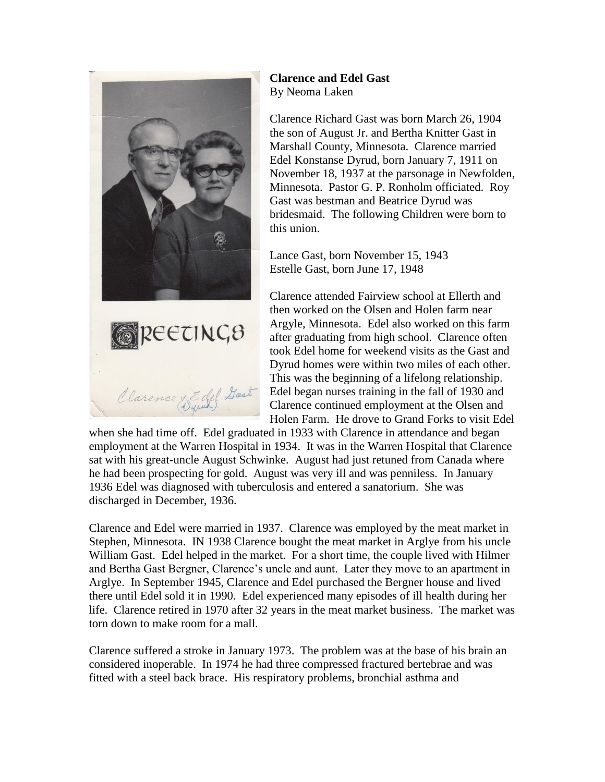

**Clarence and Edel Gast** By Neoma Laken

Clarence Richard Gast was born March 26, 1904 the son of August Jr. and Bertha Knitter Gast in Marshall County, Minnesota. Clarence married Edel Konstanse Dyrud, born January 7, 1911 on November 18, 1937 at the parsonage in Newfolden, Minnesota. Pastor G. P. Ronholm officiated. Roy Gast was bestman and Beatrice Dyrud was bridesmaid. The following Children were born to this union.

Lance Gast, born November 15, 1943 Estelle Gast, born June 17, 1948

Clarence attended Fairview school at Ellerth and then worked on the Olsen and Holen farm near Argyle, Minnesota. Edel also worked on this farm after graduating from high school. Clarence often took Edel home for weekend visits as the Gast and Dyrud homes were within two miles of each other. This was the beginning of a lifelong relationship. Edel began nurses training in the fall of 1930 and Clarence continued employment at the Olsen and Holen Farm. He drove to Grand Forks to visit Edel

when she had time off. Edel graduated in 1933 with Clarence in attendance and began employment at the Warren Hospital in 1934. It was in the Warren Hospital that Clarence sat with his great-uncle August Schwinke. August had just retuned from Canada where he had been prospecting for gold. August was very ill and was penniless. In January 1936 Edel was diagnosed with tuberculosis and entered a sanatorium. She was discharged in December, 1936.

Clarence and Edel were married in 1937. Clarence was employed by the meat market in Stephen, Minnesota. IN 1938 Clarence bought the meat market in Arglye from his uncle William Gast. Edel helped in the market. For a short time, the couple lived with Hilmer and Bertha Gast Bergner, Clarence's uncle and aunt. Later they move to an apartment in Arglye. In September 1945, Clarence and Edel purchased the Bergner house and lived there until Edel sold it in 1990. Edel experienced many episodes of ill health during her life. Clarence retired in 1970 after 32 years in the meat market business. The market was torn down to make room for a mall.

Clarence suffered a stroke in January 1973. The problem was at the base of his brain an considered inoperable. In 1974 he had three compressed fractured bertebrae and was fitted with a steel back brace. His respiratory problems, bronchial asthma and